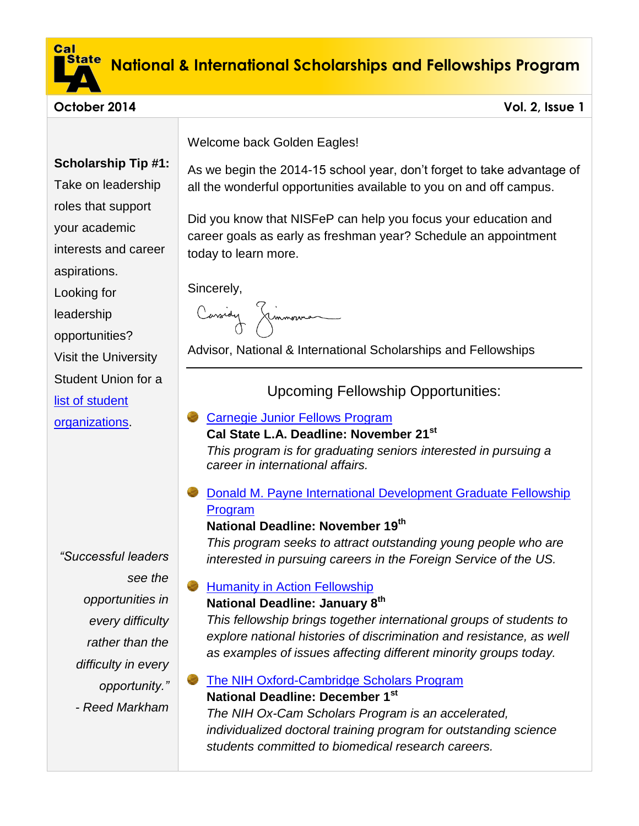

# **National & International Scholarships and Fellowships Program**

### **October 2014 Vol. 2, Issue 1**

## **Scholarship Tip #1:**

Take on leadership roles that support your academic interests and career

aspirations.

Looking for

leadership

opportunities?

Visit the University

Student Union for a

[list of student](http://www.calstatelausu.org/studentorglist) 

[organizations.](http://www.calstatelausu.org/studentorglist)

*"Successful leaders see the opportunities in every difficulty rather than the difficulty in every opportunity." - Reed Markham*

Welcome back Golden Eagles!

As we begin the 2014-15 school year, don't forget to take advantage of all the wonderful opportunities available to you on and off campus.

Did you know that NISFeP can help you focus your education and career goals as early as freshman year? Schedule an appointment today to learn more.

Sincerely,

Cassidy Jimmonna

Advisor, National & International Scholarships and Fellowships

Upcoming Fellowship Opportunities:

## [Carnegie Junior Fellows Program](http://carnegieendowment.org/about/?fa=jrFellows)

## **Cal State L.A. Deadline: November 21st**

*This program is for graduating seniors interested in pursuing a career in international affairs.* 

**C** Donald M. Payne International Development Graduate Fellowship **[Program](http://www.paynefellows.org/?areaid=2&contentid=941&CFID=511&CFTOKEN=DE093ED9-3588-4CC3-B1F2AC9DEF9F42D5)** 

## **National Deadline: November 19 th**

*This program seeks to attract outstanding young people who are interested in pursuing careers in the Foreign Service of the US.*

## [Humanity in Action Fellowship](http://www.humanityinaction.org/pages/91-call-for-applications)

## **National Deadline: January 8th**

*This fellowship brings together international groups of students to explore national histories of discrimination and resistance, as well as examples of issues affecting different minority groups today.*

[The NIH Oxford-Cambridge Scholars Program](http://oxcam.gpp.nih.gov/)  **National Deadline: December 1st**

*The NIH Ox-Cam Scholars Program is an accelerated, individualized doctoral training program for outstanding science students committed to biomedical research careers.*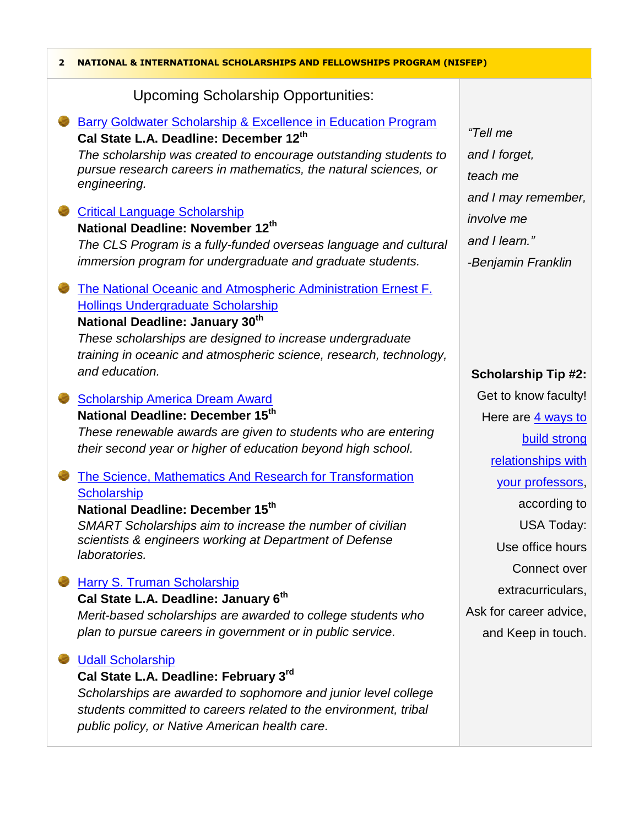| 2 | NATIONAL & INTERNATIONAL SCHOLARSHIPS AND FELLOWSHIPS PROGRAM (NISFEP)                                                             |                            |  |
|---|------------------------------------------------------------------------------------------------------------------------------------|----------------------------|--|
|   | <b>Upcoming Scholarship Opportunities:</b>                                                                                         |                            |  |
|   | <b>Barry Goldwater Scholarship &amp; Excellence in Education Program</b><br>Cal State L.A. Deadline: December 12th                 | "Tell me                   |  |
|   | The scholarship was created to encourage outstanding students to                                                                   | and I forget,              |  |
|   | pursue research careers in mathematics, the natural sciences, or                                                                   | teach me                   |  |
|   | engineering.                                                                                                                       | and I may remember,        |  |
|   | <b>Critical Language Scholarship</b>                                                                                               | <i>involve</i> me          |  |
|   | National Deadline: November 12th                                                                                                   | and I learn."              |  |
|   | The CLS Program is a fully-funded overseas language and cultural                                                                   |                            |  |
|   | immersion program for undergraduate and graduate students.                                                                         | -Benjamin Franklin         |  |
|   | The National Oceanic and Atmospheric Administration Ernest F.                                                                      |                            |  |
|   | <b>Hollings Undergraduate Scholarship</b>                                                                                          |                            |  |
|   | National Deadline: January 30th                                                                                                    |                            |  |
|   | These scholarships are designed to increase undergraduate                                                                          |                            |  |
|   | training in oceanic and atmospheric science, research, technology,<br>and education.                                               |                            |  |
|   |                                                                                                                                    | <b>Scholarship Tip #2:</b> |  |
|   | <b>Scholarship America Dream Award</b>                                                                                             | Get to know faculty!       |  |
|   | National Deadline: December 15 <sup>th</sup>                                                                                       | Here are 4 ways to         |  |
|   | These renewable awards are given to students who are entering                                                                      | <b>build strong</b>        |  |
|   | their second year or higher of education beyond high school.                                                                       | relationships with         |  |
|   | <b>The Science, Mathematics And Research for Transformation</b>                                                                    | your professors,           |  |
|   | <b>Scholarship</b>                                                                                                                 |                            |  |
|   | National Deadline: December 15 <sup>th</sup>                                                                                       | according to               |  |
|   | SMART Scholarships aim to increase the number of civilian                                                                          | <b>USA Today:</b>          |  |
|   | scientists & engineers working at Department of Defense<br>laboratories.                                                           | Use office hours           |  |
|   |                                                                                                                                    | Connect over               |  |
|   | Harry S. Truman Scholarship                                                                                                        | extracurriculars,          |  |
|   | Cal State L.A. Deadline: January 6th<br>Merit-based scholarships are awarded to college students who                               | Ask for career advice,     |  |
|   | plan to pursue careers in government or in public service.                                                                         | and Keep in touch.         |  |
|   |                                                                                                                                    |                            |  |
|   | <b>Udall Scholarship</b>                                                                                                           |                            |  |
|   | Cal State L.A. Deadline: February 3rd                                                                                              |                            |  |
|   | Scholarships are awarded to sophomore and junior level college<br>students committed to careers related to the environment, tribal |                            |  |
|   | public policy, or Native American health care.                                                                                     |                            |  |
|   |                                                                                                                                    |                            |  |

Г